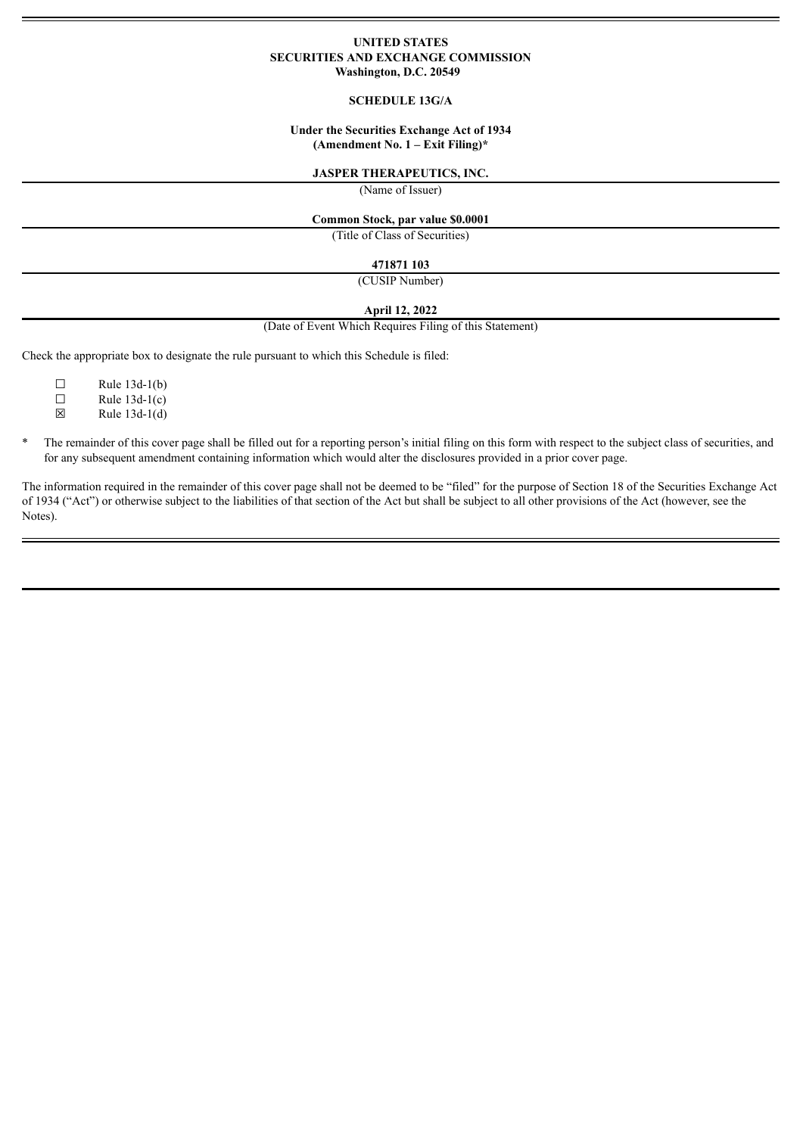### **UNITED STATES SECURITIES AND EXCHANGE COMMISSION Washington, D.C. 20549**

### **SCHEDULE 13G/A**

### **Under the Securities Exchange Act of 1934 (Amendment No. 1 – Exit Filing)\***

### **JASPER THERAPEUTICS, INC.**

(Name of Issuer)

### **Common Stock, par value \$0.0001**

(Title of Class of Securities)

# **471871 103**

(CUSIP Number)

### **April 12, 2022**

(Date of Event Which Requires Filing of this Statement)

Check the appropriate box to designate the rule pursuant to which this Schedule is filed:

| $\perp$ | Rule 13d-1(b)   |
|---------|-----------------|
| П       | Rule $13d-1(c)$ |
| ⊠       | Rule $13d-1(d)$ |

- 
- \* The remainder of this cover page shall be filled out for a reporting person's initial filing on this form with respect to the subject class of securities, and for any subsequent amendment containing information which would alter the disclosures provided in a prior cover page.

The information required in the remainder of this cover page shall not be deemed to be "filed" for the purpose of Section 18 of the Securities Exchange Act of 1934 ("Act") or otherwise subject to the liabilities of that section of the Act but shall be subject to all other provisions of the Act (however, see the Notes).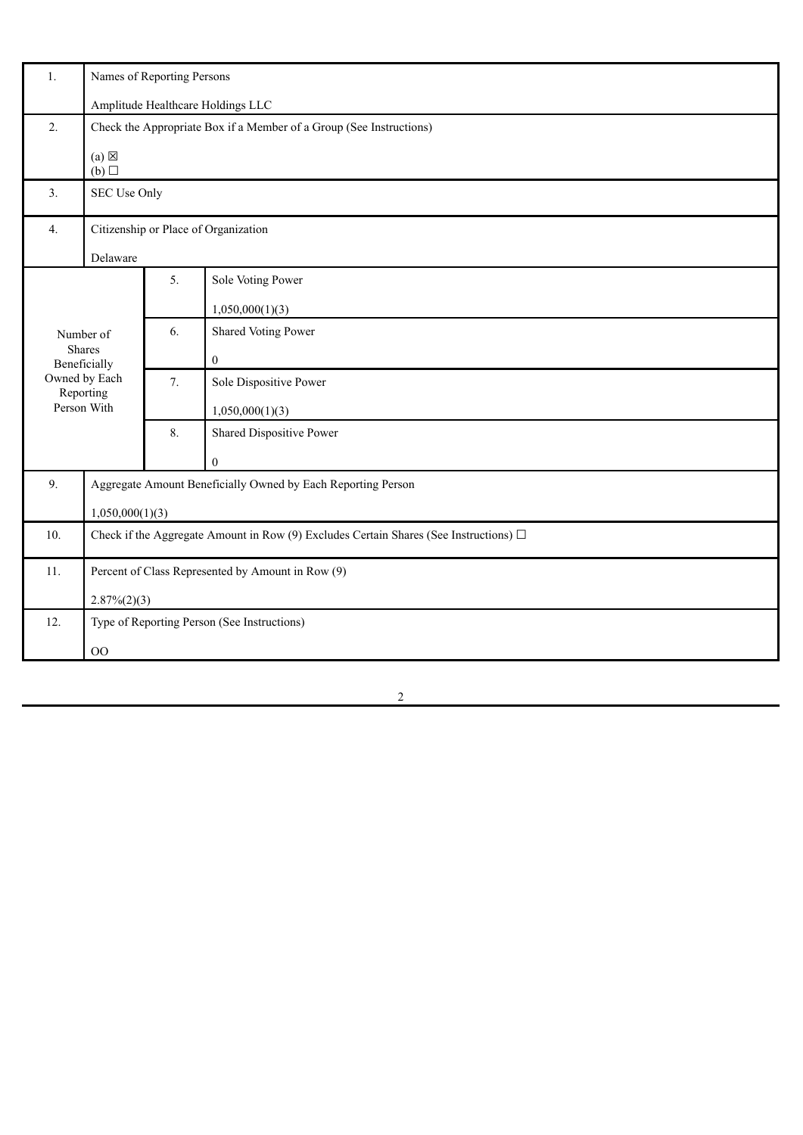| 1.                                                                 | Names of Reporting Persons                                                                 |    |                                             |  |
|--------------------------------------------------------------------|--------------------------------------------------------------------------------------------|----|---------------------------------------------|--|
|                                                                    | Amplitude Healthcare Holdings LLC                                                          |    |                                             |  |
| 2.                                                                 | Check the Appropriate Box if a Member of a Group (See Instructions)                        |    |                                             |  |
| $(a) \boxtimes$<br>(b)                                             |                                                                                            |    |                                             |  |
| 3.                                                                 | SEC Use Only                                                                               |    |                                             |  |
| 4.                                                                 | Citizenship or Place of Organization                                                       |    |                                             |  |
|                                                                    | Delaware                                                                                   |    |                                             |  |
|                                                                    |                                                                                            | 5. | Sole Voting Power                           |  |
|                                                                    |                                                                                            |    | 1,050,000(1)(3)                             |  |
|                                                                    | Number of                                                                                  | 6. | Shared Voting Power                         |  |
|                                                                    | <b>Shares</b><br>Beneficially                                                              |    | $\boldsymbol{0}$                            |  |
|                                                                    | Owned by Each<br>Reporting                                                                 | 7. | Sole Dispositive Power                      |  |
|                                                                    | Person With                                                                                |    | 1,050,000(1)(3)                             |  |
|                                                                    |                                                                                            |    | Shared Dispositive Power                    |  |
|                                                                    |                                                                                            |    | $\overline{0}$                              |  |
| Aggregate Amount Beneficially Owned by Each Reporting Person<br>9. |                                                                                            |    |                                             |  |
|                                                                    | 1,050,000(1)(3)                                                                            |    |                                             |  |
| 10.                                                                | Check if the Aggregate Amount in Row (9) Excludes Certain Shares (See Instructions) $\Box$ |    |                                             |  |
| 11.                                                                | Percent of Class Represented by Amount in Row (9)                                          |    |                                             |  |
|                                                                    | $2.87\%(2)(3)$                                                                             |    |                                             |  |
| 12.                                                                |                                                                                            |    | Type of Reporting Person (See Instructions) |  |
|                                                                    | $\rm OO$                                                                                   |    |                                             |  |
|                                                                    |                                                                                            |    |                                             |  |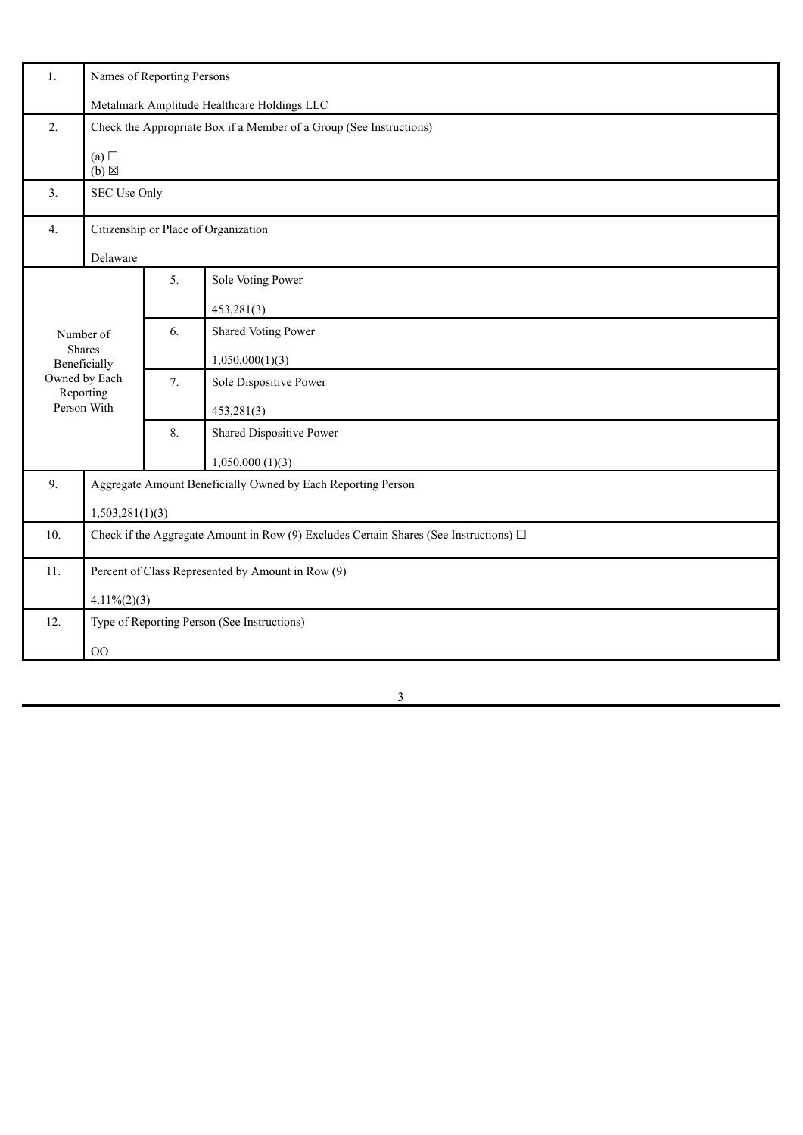| Names of Reporting Persons                                                                 |                     |                                                              |
|--------------------------------------------------------------------------------------------|---------------------|--------------------------------------------------------------|
| Metalmark Amplitude Healthcare Holdings LLC                                                |                     |                                                              |
| 2.<br>Check the Appropriate Box if a Member of a Group (See Instructions)                  |                     |                                                              |
| (a)<br>$(b) \boxtimes$                                                                     |                     |                                                              |
| SEC Use Only                                                                               |                     |                                                              |
| Citizenship or Place of Organization<br>4.                                                 |                     |                                                              |
| Delaware                                                                                   |                     |                                                              |
|                                                                                            | 5.                  | Sole Voting Power                                            |
|                                                                                            |                     | 453,281(3)                                                   |
| Number of                                                                                  | 6.                  | Shared Voting Power                                          |
| Beneficially                                                                               |                     | 1,050,000(1)(3)                                              |
| Owned by Each                                                                              | 7.                  | Sole Dispositive Power                                       |
| Person With                                                                                |                     | 453,281(3)                                                   |
|                                                                                            | 8.                  | Shared Dispositive Power                                     |
|                                                                                            |                     | 1,050,000(1)(3)                                              |
| 9.                                                                                         |                     | Aggregate Amount Beneficially Owned by Each Reporting Person |
| 1,503,281(1)(3)                                                                            |                     |                                                              |
| Check if the Aggregate Amount in Row (9) Excludes Certain Shares (See Instructions) $\Box$ |                     |                                                              |
| Percent of Class Represented by Amount in Row (9)                                          |                     |                                                              |
| $4.11\%(2)(3)$                                                                             |                     |                                                              |
| 12.<br>Type of Reporting Person (See Instructions)                                         |                     |                                                              |
| $\rm OO$                                                                                   |                     |                                                              |
|                                                                                            | Shares<br>Reporting |                                                              |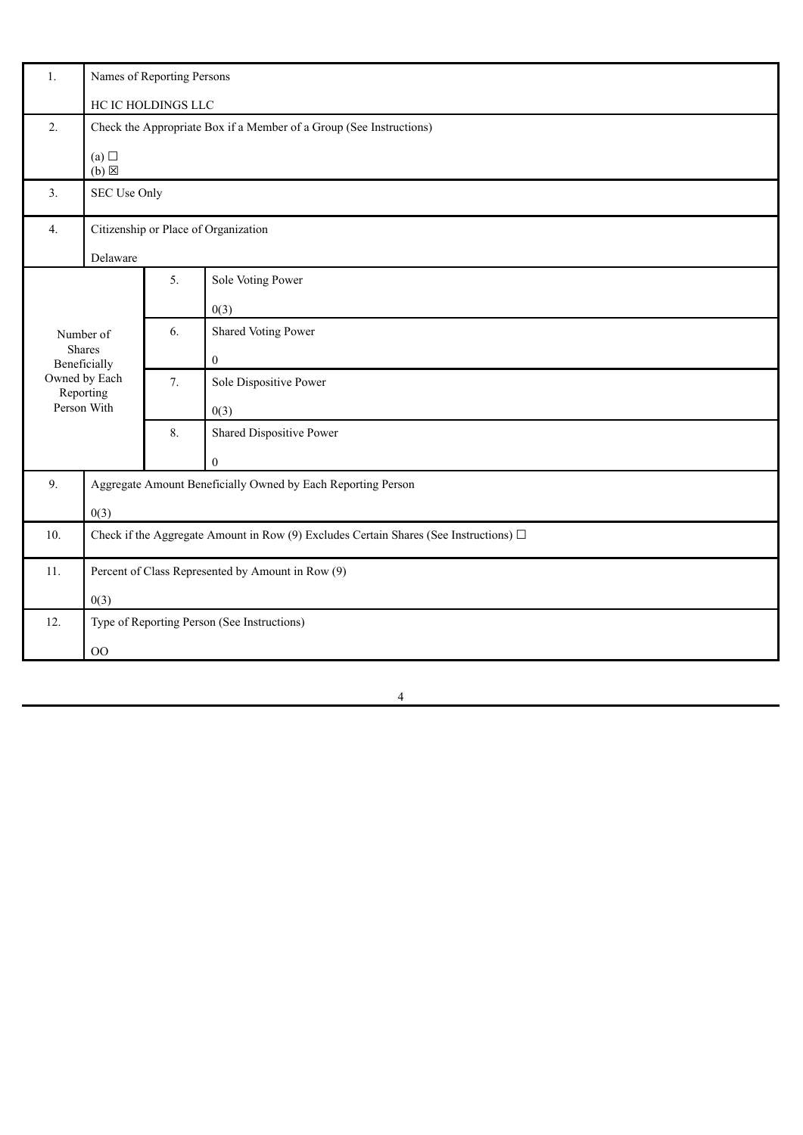| 1.       | Names of Reporting Persons                                                                 |    |                          |  |
|----------|--------------------------------------------------------------------------------------------|----|--------------------------|--|
|          | HC IC HOLDINGS LLC                                                                         |    |                          |  |
| 2.       | Check the Appropriate Box if a Member of a Group (See Instructions)                        |    |                          |  |
|          | (a)<br>$(b) \boxtimes$                                                                     |    |                          |  |
| 3.       | SEC Use Only                                                                               |    |                          |  |
| 4.       | Citizenship or Place of Organization                                                       |    |                          |  |
| Delaware |                                                                                            |    |                          |  |
|          |                                                                                            | 5. | Sole Voting Power        |  |
|          |                                                                                            |    | 0(3)                     |  |
|          | Number of                                                                                  | 6. | Shared Voting Power      |  |
|          | Shares<br>Beneficially                                                                     |    | $\boldsymbol{0}$         |  |
|          | Owned by Each<br>Reporting                                                                 | 7. | Sole Dispositive Power   |  |
|          | Person With                                                                                |    | 0(3)                     |  |
|          |                                                                                            | 8. | Shared Dispositive Power |  |
|          |                                                                                            |    | $\mathbf{0}$             |  |
| 9.       | Aggregate Amount Beneficially Owned by Each Reporting Person                               |    |                          |  |
|          | 0(3)                                                                                       |    |                          |  |
| 10.      | Check if the Aggregate Amount in Row (9) Excludes Certain Shares (See Instructions) $\Box$ |    |                          |  |
| 11.      | Percent of Class Represented by Amount in Row (9)                                          |    |                          |  |
|          | 0(3)                                                                                       |    |                          |  |
| 12.      | Type of Reporting Person (See Instructions)                                                |    |                          |  |
|          | $00\,$                                                                                     |    |                          |  |
|          |                                                                                            |    |                          |  |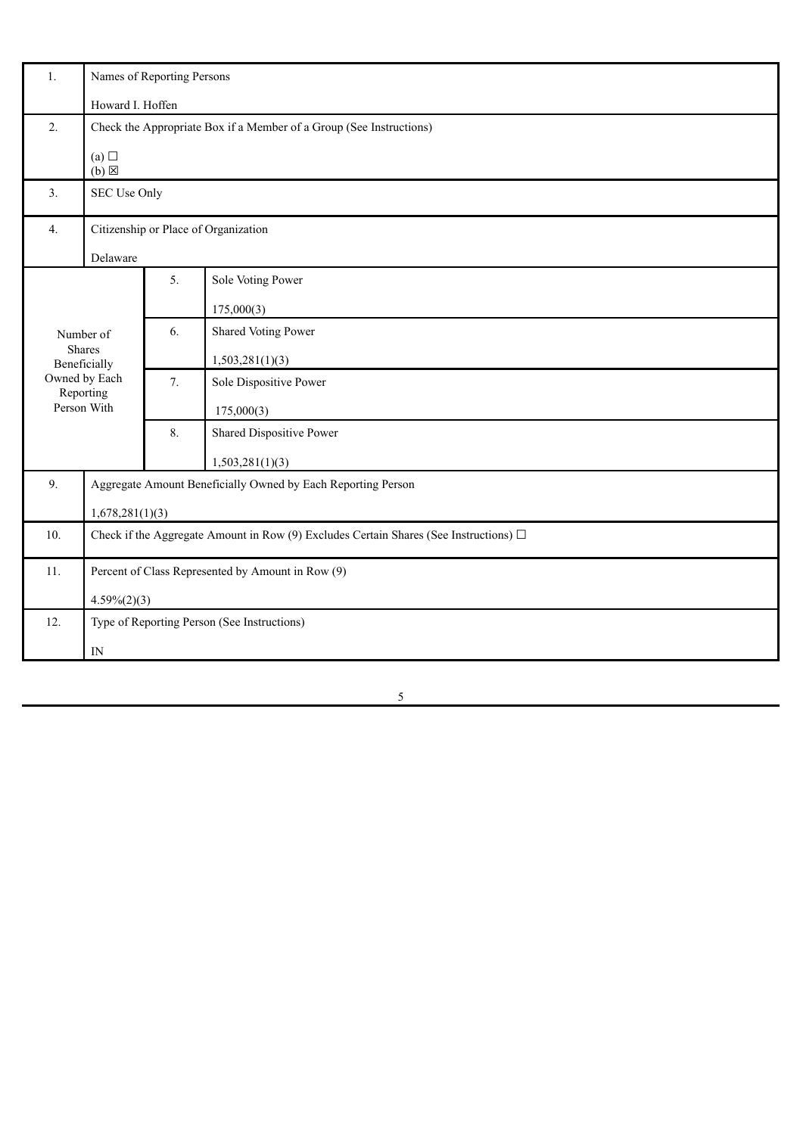| 1.          | Names of Reporting Persons                                                                 |    |                          |
|-------------|--------------------------------------------------------------------------------------------|----|--------------------------|
|             | Howard I. Hoffen                                                                           |    |                          |
| 2.          | Check the Appropriate Box if a Member of a Group (See Instructions)                        |    |                          |
|             | (a)<br>$(b) \boxtimes$                                                                     |    |                          |
| 3.          | SEC Use Only                                                                               |    |                          |
| 4.          | Citizenship or Place of Organization                                                       |    |                          |
|             | Delaware                                                                                   |    |                          |
|             |                                                                                            | 5. | Sole Voting Power        |
|             |                                                                                            |    | 175,000(3)               |
|             | Number of                                                                                  |    | Shared Voting Power      |
| Shares      | Beneficially                                                                               |    | 1,503,281(1)(3)          |
|             | Owned by Each<br>Reporting                                                                 | 7. | Sole Dispositive Power   |
| Person With |                                                                                            |    | 175,000(3)               |
|             |                                                                                            |    | Shared Dispositive Power |
|             |                                                                                            |    | 1,503,281(1)(3)          |
| 9.          | Aggregate Amount Beneficially Owned by Each Reporting Person                               |    |                          |
|             | 1,678,281(1)(3)                                                                            |    |                          |
| 10.         | Check if the Aggregate Amount in Row (9) Excludes Certain Shares (See Instructions) $\Box$ |    |                          |
| 11.         | Percent of Class Represented by Amount in Row (9)                                          |    |                          |
|             | $4.59\%(2)(3)$                                                                             |    |                          |
| 12.         | Type of Reporting Person (See Instructions)                                                |    |                          |
|             | $\ensuremath{\text{IN}}$                                                                   |    |                          |
|             |                                                                                            |    |                          |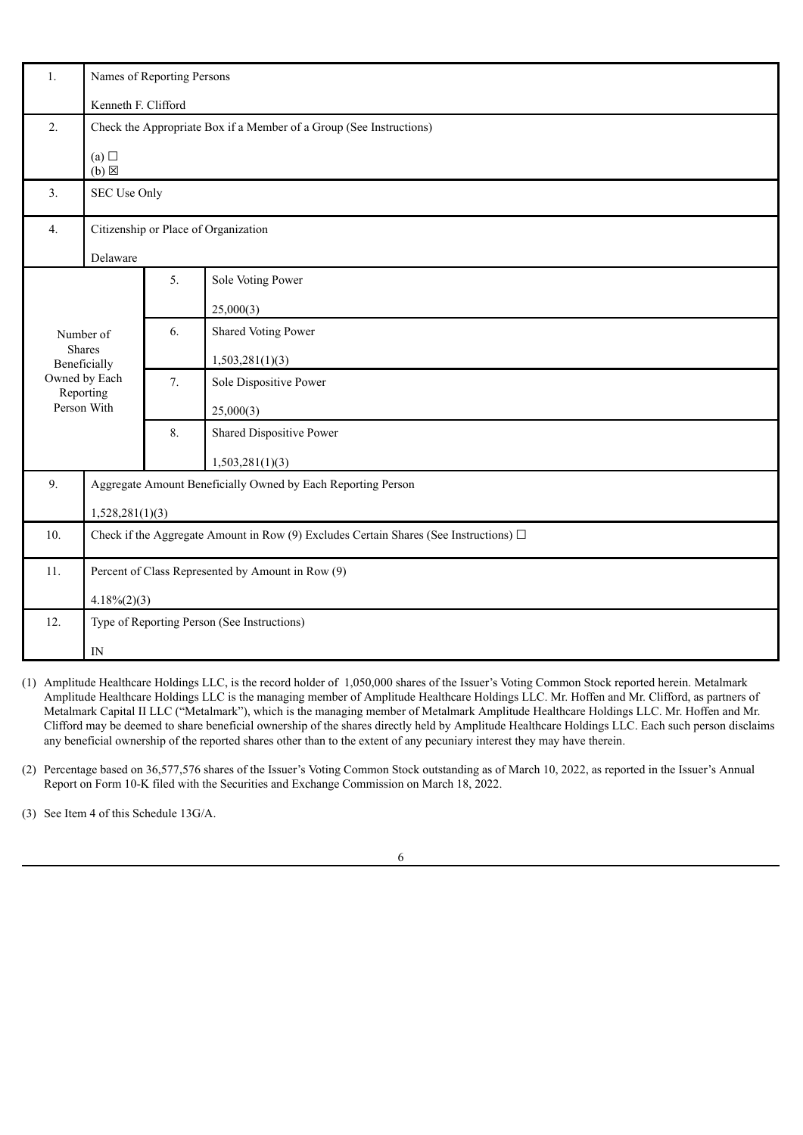| 1.               | Names of Reporting Persons                                                                 |                                                                     |                          |  |
|------------------|--------------------------------------------------------------------------------------------|---------------------------------------------------------------------|--------------------------|--|
|                  | Kenneth F. Clifford                                                                        |                                                                     |                          |  |
| 2.               |                                                                                            | Check the Appropriate Box if a Member of a Group (See Instructions) |                          |  |
|                  | (a)<br>$(b)$ $\boxtimes$                                                                   |                                                                     |                          |  |
| 3.               | SEC Use Only                                                                               |                                                                     |                          |  |
| $\overline{4}$ . | Citizenship or Place of Organization                                                       |                                                                     |                          |  |
|                  | Delaware                                                                                   |                                                                     |                          |  |
|                  |                                                                                            | 5.                                                                  | Sole Voting Power        |  |
|                  |                                                                                            |                                                                     | 25,000(3)                |  |
|                  | Number of                                                                                  | 6.                                                                  | Shared Voting Power      |  |
|                  | <b>Shares</b><br>Beneficially                                                              |                                                                     | 1,503,281(1)(3)          |  |
|                  | Owned by Each<br>Reporting                                                                 | 7.                                                                  | Sole Dispositive Power   |  |
|                  | Person With                                                                                |                                                                     | 25,000(3)                |  |
|                  |                                                                                            |                                                                     | Shared Dispositive Power |  |
|                  |                                                                                            |                                                                     | 1,503,281(1)(3)          |  |
| 9.               | Aggregate Amount Beneficially Owned by Each Reporting Person                               |                                                                     |                          |  |
|                  | 1,528,281(1)(3)                                                                            |                                                                     |                          |  |
| 10.              | Check if the Aggregate Amount in Row (9) Excludes Certain Shares (See Instructions) $\Box$ |                                                                     |                          |  |
| 11.              | Percent of Class Represented by Amount in Row (9)                                          |                                                                     |                          |  |
|                  | $4.18\%(2)(3)$                                                                             |                                                                     |                          |  |
| 12.              | Type of Reporting Person (See Instructions)                                                |                                                                     |                          |  |
|                  | IN                                                                                         |                                                                     |                          |  |

- (1) Amplitude Healthcare Holdings LLC, is the record holder of 1,050,000 shares of the Issuer's Voting Common Stock reported herein. Metalmark Amplitude Healthcare Holdings LLC is the managing member of Amplitude Healthcare Holdings LLC. Mr. Hoffen and Mr. Clifford, as partners of Metalmark Capital II LLC ("Metalmark"), which is the managing member of Metalmark Amplitude Healthcare Holdings LLC. Mr. Hoffen and Mr. Clifford may be deemed to share beneficial ownership of the shares directly held by Amplitude Healthcare Holdings LLC. Each such person disclaims any beneficial ownership of the reported shares other than to the extent of any pecuniary interest they may have therein.
- (2) Percentage based on 36,577,576 shares of the Issuer's Voting Common Stock outstanding as of March 10, 2022, as reported in the Issuer's Annual Report on Form 10-K filed with the Securities and Exchange Commission on March 18, 2022.

(3) See Item 4 of this Schedule 13G/A.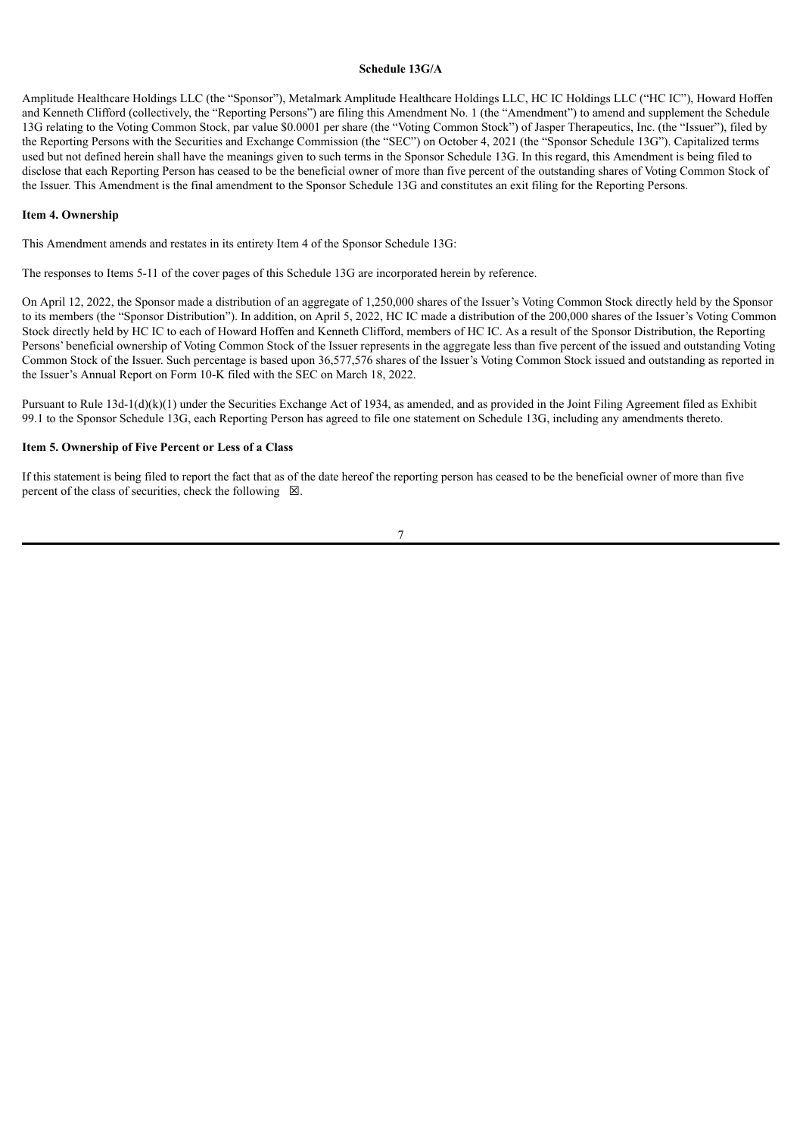### **Schedule 13G/A**

Amplitude Healthcare Holdings LLC (the "Sponsor"), Metalmark Amplitude Healthcare Holdings LLC, HC IC Holdings LLC ("HC IC"), Howard Hoffen and Kenneth Clifford (collectively, the "Reporting Persons") are filing this Amendment No. 1 (the "Amendment") to amend and supplement the Schedule 13G relating to the Voting Common Stock, par value \$0.0001 per share (the "Voting Common Stock") of Jasper Therapeutics, Inc. (the "Issuer"), filed by the Reporting Persons with the Securities and Exchange Commission (the "SEC") on October 4, 2021 (the "Sponsor Schedule 13G"). Capitalized terms used but not defined herein shall have the meanings given to such terms in the Sponsor Schedule 13G. In this regard, this Amendment is being filed to disclose that each Reporting Person has ceased to be the beneficial owner of more than five percent of the outstanding shares of Voting Common Stock of the Issuer. This Amendment is the final amendment to the Sponsor Schedule 13G and constitutes an exit filing for the Reporting Persons.

#### **Item 4. Ownership**

This Amendment amends and restates in its entirety Item 4 of the Sponsor Schedule 13G:

The responses to Items 5-11 of the cover pages of this Schedule 13G are incorporated herein by reference.

On April 12, 2022, the Sponsor made a distribution of an aggregate of 1,250,000 shares of the Issuer's Voting Common Stock directly held by the Sponsor to its members (the "Sponsor Distribution"). In addition, on April 5, 2022, HC IC made a distribution of the 200,000 shares of the Issuer's Voting Common Stock directly held by HC IC to each of Howard Hoffen and Kenneth Clifford, members of HC IC. As a result of the Sponsor Distribution, the Reporting Persons' beneficial ownership of Voting Common Stock of the Issuer represents in the aggregate less than five percent of the issued and outstanding Voting Common Stock of the Issuer. Such percentage is based upon 36,577,576 shares of the Issuer's Voting Common Stock issued and outstanding as reported in the Issuer's Annual Report on Form 10-K filed with the SEC on March 18, 2022.

Pursuant to Rule 13d-1(d)(k)(1) under the Securities Exchange Act of 1934, as amended, and as provided in the Joint Filing Agreement filed as Exhibit 99.1 to the Sponsor Schedule 13G, each Reporting Person has agreed to file one statement on Schedule 13G, including any amendments thereto.

# **Item 5. Ownership of Five Percent or Less of a Class**

If this statement is being filed to report the fact that as of the date hereof the reporting person has ceased to be the beneficial owner of more than five percent of the class of securities, check the following  $\boxtimes$ .